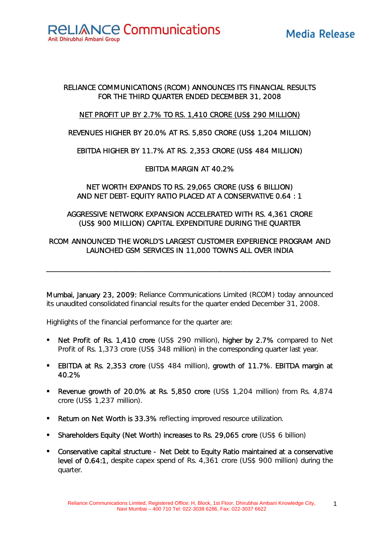**RELIANCE Communications** Anil Dhirubhai Ambani Group

# Media Release

## RELIANCE COMMUNICATIONS (RCOM) ANNOUNCES ITS FINANCIAL RESULTS FOR THE THIRD QUARTER ENDED DECEMBER 31, 2008

## NET PROFIT UP BY 2.7% TO RS. 1,410 CRORE (US\$ 290 MILLION)

#### REVENUES HIGHER BY 20.0% AT RS. 5,850 CRORE (US\$ 1,204 MILLION)

## EBITDA HIGHER BY 11.7% AT RS. 2,353 CRORE (US\$ 484 MILLION)

## EBITDA MARGIN AT 40.2%

## NET WORTH EXPANDS TO RS. 29,065 CRORE (US\$ 6 BILLION) AND NET DEBT-EQUITY RATIO PLACED AT A CONSERVATIVE 0.64 : 1

## AGGRESSIVE NETWORK EXPANSION ACCELERATED WITH RS. 4,361 CRORE (US\$ 900 MILLION) CAPITAL EXPENDITURE DURING THE QUARTER

## RCOM ANNOUNCED THE WORLD'S LARGEST CUSTOMER EXPERIENCE PROGRAM AND LAUNCHED GSM SERVICES IN 11,000 TOWNS ALL OVER INDIA

\_\_\_\_\_\_\_\_\_\_\_\_\_\_\_\_\_\_\_\_\_\_\_\_\_\_\_\_\_\_\_\_\_\_\_\_\_\_\_\_\_\_\_\_\_\_\_\_\_\_\_\_\_\_\_\_\_\_\_\_\_\_\_\_\_\_\_\_\_\_\_\_\_\_\_\_\_\_\_\_\_\_

Mumbai, January 23, 2009: Reliance Communications Limited (RCOM) today announced its unaudited consolidated financial results for the quarter ended December 31, 2008.

Highlights of the financial performance for the quarter are:

- Net Profit of Rs. 1,410 crore (US\$ 290 million), higher by 2.7% compared to Net Profit of Rs. 1,373 crore (US\$ 348 million) in the corresponding quarter last year.
- **EBITDA at Rs. 2,353 crore (US\$ 484 million), growth of 11.7%. EBITDA margin at** 40.2%
- Revenue growth of 20.0% at Rs. 5,850 crore (US\$ 1,204 million) from Rs. 4,874 crore (US\$ 1,237 million).
- **Return on Net Worth is 33.3%** reflecting improved resource utilization.
- Shareholders Equity (Net Worth) increases to Rs. 29,065 crore (US\$ 6 billion)
- Conservative capital structure Net Debt to Equity Ratio maintained at a conservative level of 0.64:1, despite capex spend of Rs. 4,361 crore (US\$ 900 million) during the quarter.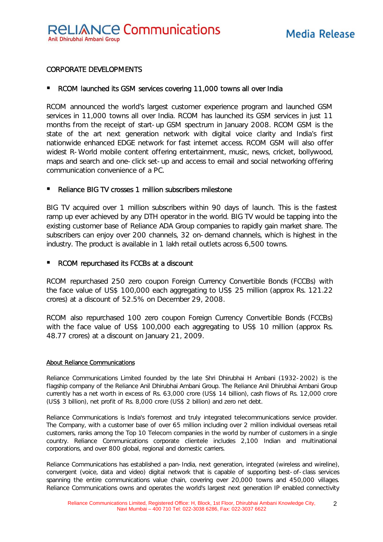#### CORPORATE DEVELOPMENTS

#### ■ RCOM launched its GSM services covering 11,000 towns all over India

RCOM announced the world's largest customer experience program and launched GSM services in 11,000 towns all over India. RCOM has launched its GSM services in just 11 months from the receipt of start-up GSM spectrum in January 2008. RCOM GSM is the state of the art next generation network with digital voice clarity and India's first nationwide enhanced EDGE network for fast internet access. RCOM GSM will also offer widest R-World mobile content offering entertainment, music, news, cricket, bollywood, maps and search and one-click set-up and access to email and social networking offering communication convenience of a PC.

#### Reliance BIG TV crosses 1 million subscribers milestone

BIG TV acquired over 1 million subscribers within 90 days of launch. This is the fastest ramp up ever achieved by any DTH operator in the world. BIG TV would be tapping into the existing customer base of Reliance ADA Group companies to rapidly gain market share. The subscribers can enjoy over 200 channels, 32 on-demand channels, which is highest in the industry. The product is available in 1 lakh retail outlets across 6,500 towns.

#### RCOM repurchased its FCCBs at a discount

RCOM repurchased 250 zero coupon Foreign Currency Convertible Bonds (FCCBs) with the face value of US\$ 100,000 each aggregating to US\$ 25 million (approx Rs. 121.22 crores) at a discount of 52.5% on December 29, 2008.

RCOM also repurchased 100 zero coupon Foreign Currency Convertible Bonds (FCCBs) with the face value of US\$ 100,000 each aggregating to US\$ 10 million (approx Rs. 48.77 crores) at a discount on January 21, 2009.

#### About Reliance Communications

Reliance Communications Limited founded by the late Shri Dhirubhai H Ambani (1932-2002) is the flagship company of the Reliance Anil Dhirubhai Ambani Group. The Reliance Anil Dhirubhai Ambani Group currently has a net worth in excess of Rs. 63,000 crore (US\$ 14 billion), cash flows of Rs. 12,000 crore (US\$ 3 billion), net profit of Rs. 8,000 crore (US\$ 2 billion) and zero net debt.

Reliance Communications is India's foremost and truly integrated telecommunications service provider. The Company, with a customer base of over 65 million including over 2 million individual overseas retail customers, ranks among the Top 10 Telecom companies in the world by number of customers in a single country. Reliance Communications corporate clientele includes 2,100 Indian and multinational corporations, and over 800 global, regional and domestic carriers.

Reliance Communications has established a pan-India, next generation, integrated (wireless and wireline), convergent (voice, data and video) digital network that is capable of supporting best-of-class services spanning the entire communications value chain, covering over 20,000 towns and 450,000 villages. Reliance Communications owns and operates the world's largest next generation IP enabled connectivity